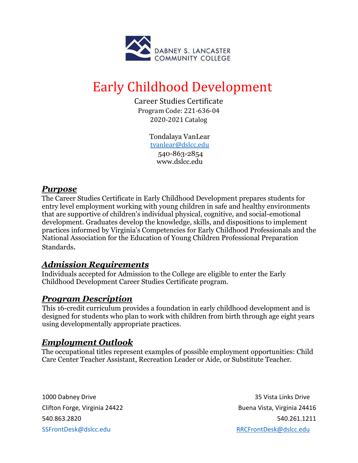

# Early Childhood Development

Career Studies Certificate Program Code: 221-636-04 2020-2021 Catalog

> Tondalaya VanLear [tvanlear@dslcc.edu](mailto:tvanlear@dslcc.edu) 540-863-2854 www.dslcc.edu

### *Purpose*

The Career Studies Certificate in Early Childhood Development prepares students for entry level employment working with young children in safe and healthy environments that are supportive of children's individual physical, cognitive, and social-emotional development. Graduates develop the knowledge, skills, and dispositions to implement practices informed by Virginia's Competencies for Early Childhood Professionals and the National Association for the Education of Young Children Professional Preparation Standards.

## *Admission Requirements*

Individuals accepted for Admission to the College are eligible to enter the Early Childhood Development Career Studies Certificate program.

#### *Program Description*

This 16-credit curriculum provides a foundation in early childhood development and is designed for students who plan to work with children from birth through age eight years using developmentally appropriate practices.

#### *Employment Outlook*

The occupational titles represent examples of possible employment opportunities: Child Care Center Teacher Assistant, Recreation Leader or Aide, or Substitute Teacher.

1000 Dabney Drive 35 Vista Links Drive Clifton Forge, Virginia 24422 **Buena Vista, Virginia 24416** 540.863.2820 540.261.1211 SSFrontDesk@dslcc.edu RRCFrontDesk@dslcc.edu